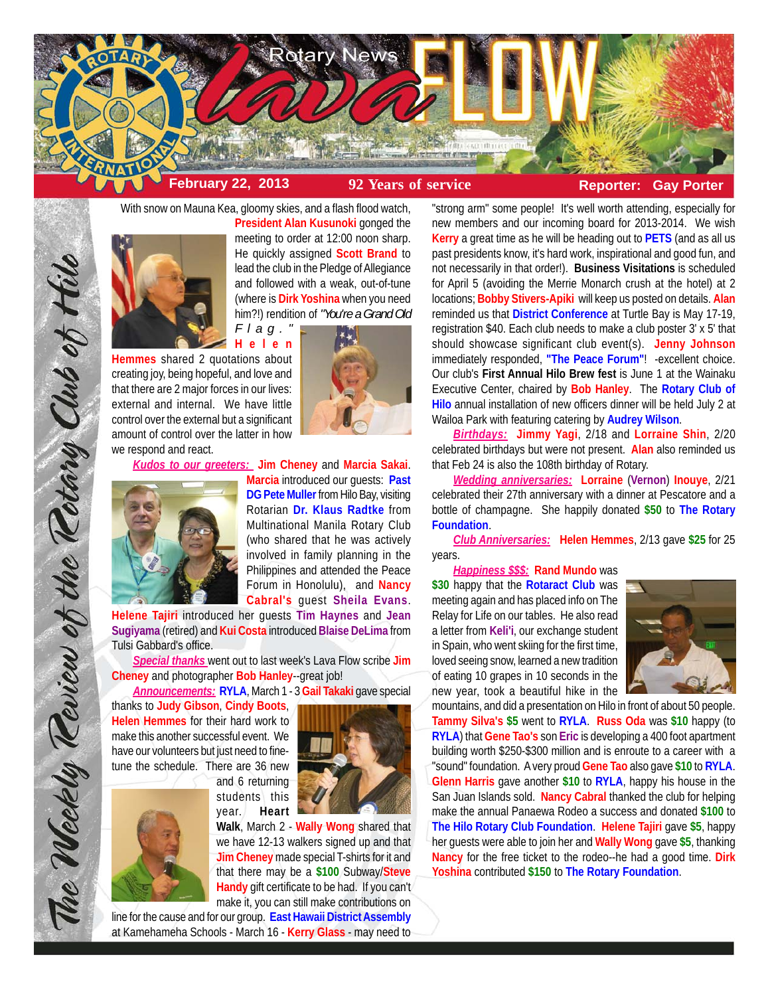

With snow on Mauna Kea, gloomy skies, and a flash flood watch,



**President Alan Kusunoki** gonged the meeting to order at 12:00 noon sharp. He quickly assigned **Scott Brand** to lead the club in the Pledge of Allegiance and followed with a weak, out-of-tune (where is **Dirk Yoshina** when you need him?!) rendition of *"You're a Grand Old*

**Helen Hemmes** shared 2 quotations about creating joy, being hopeful, and love and that there are 2 major forces in our lives: external and internal. We have little control over the external but a significant amount of control over the latter in how we respond and react.



*Kudos to our greeters:* **Jim Cheney** and **Marcia Sakai**.



**Marcia** introduced our guests: **Past DG Pete Muller** from Hilo Bay, visiting Rotarian **Dr. Klaus Radtke** from Multinational Manila Rotary Club (who shared that he was actively involved in family planning in the Philippines and attended the Peace Forum in Honolulu), and **Nancy Cabral's** guest **Sheila Evans**.

**Helene Tajiri** introduced her guests **Tim Haynes** and **Jean Sugiyama** (retired) and **Kui Costa** introduced **Blaise DeLima** from Tulsi Gabbard's office.

*Special thanks* went out to last week's Lava Flow scribe **Jim Cheney** and photographer **Bob Hanley**--great job!

*Announcements:* **RYLA**, March 1 - 3 **Gail Takaki** gave special

thanks to **Judy Gibson**, **Cindy Boots**, **Helen Hemmes** for their hard work to make this another successful event. We have our volunteers but just need to finetune the schedule. There are 36 new

and 6 returning students this year. **Heart**



**Walk**, March 2 - **Wally Wong** shared that we have 12-13 walkers signed up and that **Jim Cheney** made special T-shirts for it and that there may be a **\$100** Subway/**Steve Handy** gift certificate to be had. If you can't make it, you can still make contributions on

line for the cause and for our group. **East Hawaii District Assembly** at Kamehameha Schools - March 16 - **Kerry Glass** - may need to "strong arm" some people! It's well worth attending, especially for new members and our incoming board for 2013-2014. We wish **Kerry** a great time as he will be heading out to **PETS** (and as all us past presidents know, it's hard work, inspirational and good fun, and not necessarily in that order!). **Business Visitations** is scheduled for April 5 (avoiding the Merrie Monarch crush at the hotel) at 2 locations; **Bobby Stivers-Apiki** will keep us posted on details. **Alan** reminded us that **District Conference** at Turtle Bay is May 17-19, registration \$40. Each club needs to make a club poster 3' x 5' that should showcase significant club event(s). **Jenny Johnson** immediately responded, **"The Peace Forum"**! -excellent choice. Our club's **First Annual Hilo Brew fest** is June 1 at the Wainaku Executive Center, chaired by **Bob Hanley**. The **Rotary Club of Hilo** annual installation of new officers dinner will be held July 2 at Wailoa Park with featuring catering by **Audrey Wilson**.

*Birthdays:* **Jimmy Yagi**, 2/18 and **Lorraine Shin**, 2/20 celebrated birthdays but were not present. **Alan** also reminded us that Feb 24 is also the 108th birthday of Rotary.

*Wedding anniversaries:* **Lorraine** (**Vernon**) **Inouye**, 2/21 celebrated their 27th anniversary with a dinner at Pescatore and a bottle of champagne. She happily donated **\$50** to **The Rotary Foundation**.

*Club Anniversaries:* **Helen Hemmes**, 2/13 gave **\$25** for 25 years.

*Happiness \$\$\$:* **Rand Mundo** was

**\$30** happy that the **Rotaract Club** was meeting again and has placed info on The Relay for Life on our tables. He also read a letter from **Keli'i**, our exchange student in Spain, who went skiing for the first time, loved seeing snow, learned a new tradition of eating 10 grapes in 10 seconds in the new year, took a beautiful hike in the



mountains, and did a presentation on Hilo in front of about 50 people. **Tammy Silva's \$5** went to **RYLA**. **Russ Oda** was **\$10** happy (to **RYLA**) that **Gene Tao's** son **Eric** is developing a 400 foot apartment building worth \$250-\$300 million and is enroute to a career with a "sound" foundation. A very proud **Gene Tao** also gave **\$10** to **RYLA**. **Glenn Harris** gave another **\$10** to **RYLA**, happy his house in the San Juan Islands sold. **Nancy Cabral** thanked the club for helping make the annual Panaewa Rodeo a success and donated **\$100** to **The Hilo Rotary Club Foundation**. **Helene Tajiri** gave **\$5**, happy her guests were able to join her and **Wally Wong** gave **\$5**, thanking **Nancy** for the free ticket to the rodeo--he had a good time. **Dirk Yoshina** contributed **\$150** to **The Rotary Foundation**.